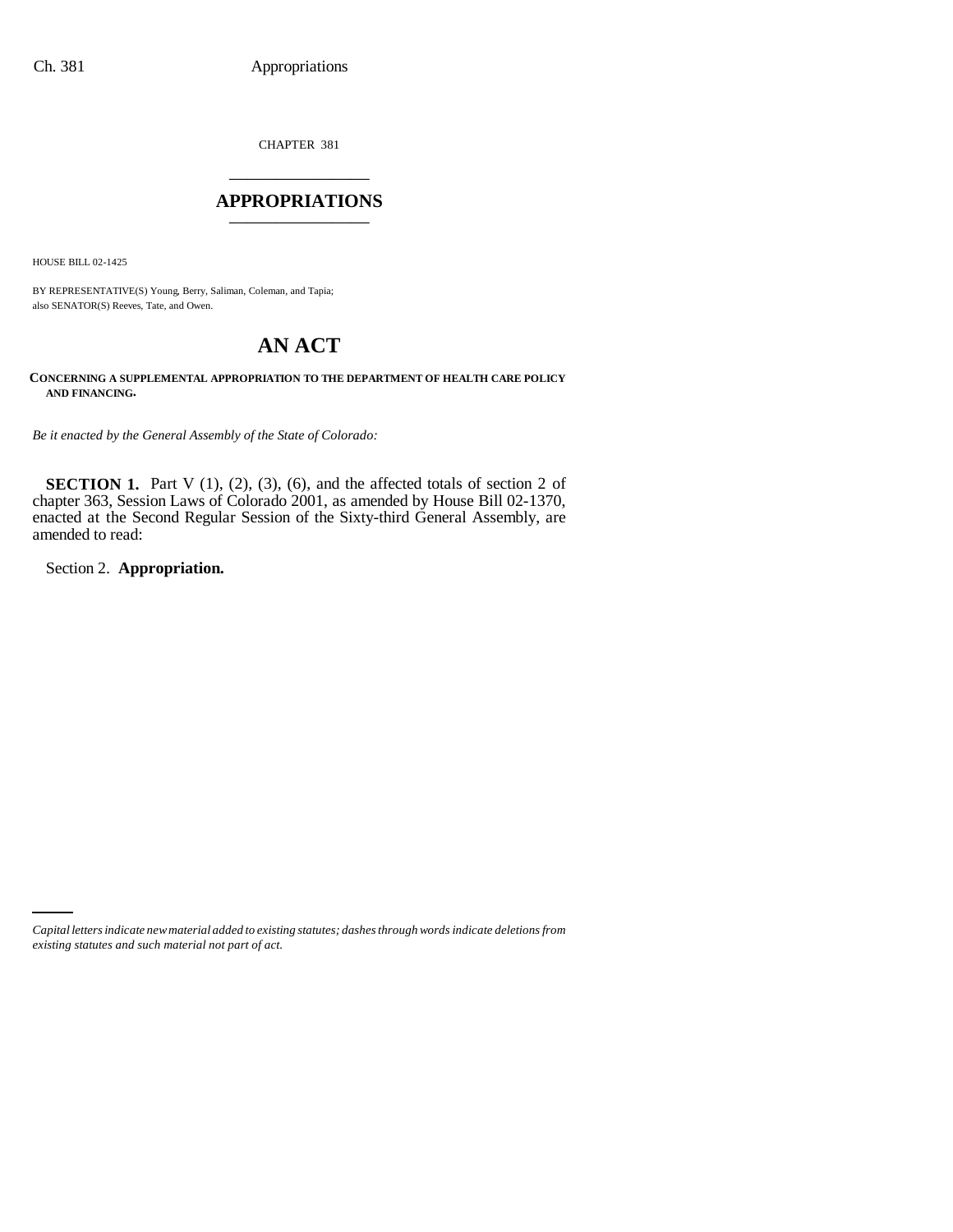CHAPTER 381 \_\_\_\_\_\_\_\_\_\_\_\_\_\_\_

#### **APPROPRIATIONS** \_\_\_\_\_\_\_\_\_\_\_\_\_\_\_

HOUSE BILL 02-1425

BY REPRESENTATIVE(S) Young, Berry, Saliman, Coleman, and Tapia; also SENATOR(S) Reeves, Tate, and Owen.

# **AN ACT**

**CONCERNING A SUPPLEMENTAL APPROPRIATION TO THE DEPARTMENT OF HEALTH CARE POLICY AND FINANCING.**

*Be it enacted by the General Assembly of the State of Colorado:*

**SECTION 1.** Part V  $(1)$ ,  $(2)$ ,  $(3)$ ,  $(6)$ , and the affected totals of section 2 of chapter 363, Session Laws of Colorado 2001, as amended by House Bill 02-1370, enacted at the Second Regular Session of the Sixty-third General Assembly, are amended to read:

Section 2. **Appropriation.**

*Capital letters indicate new material added to existing statutes; dashes through words indicate deletions from existing statutes and such material not part of act.*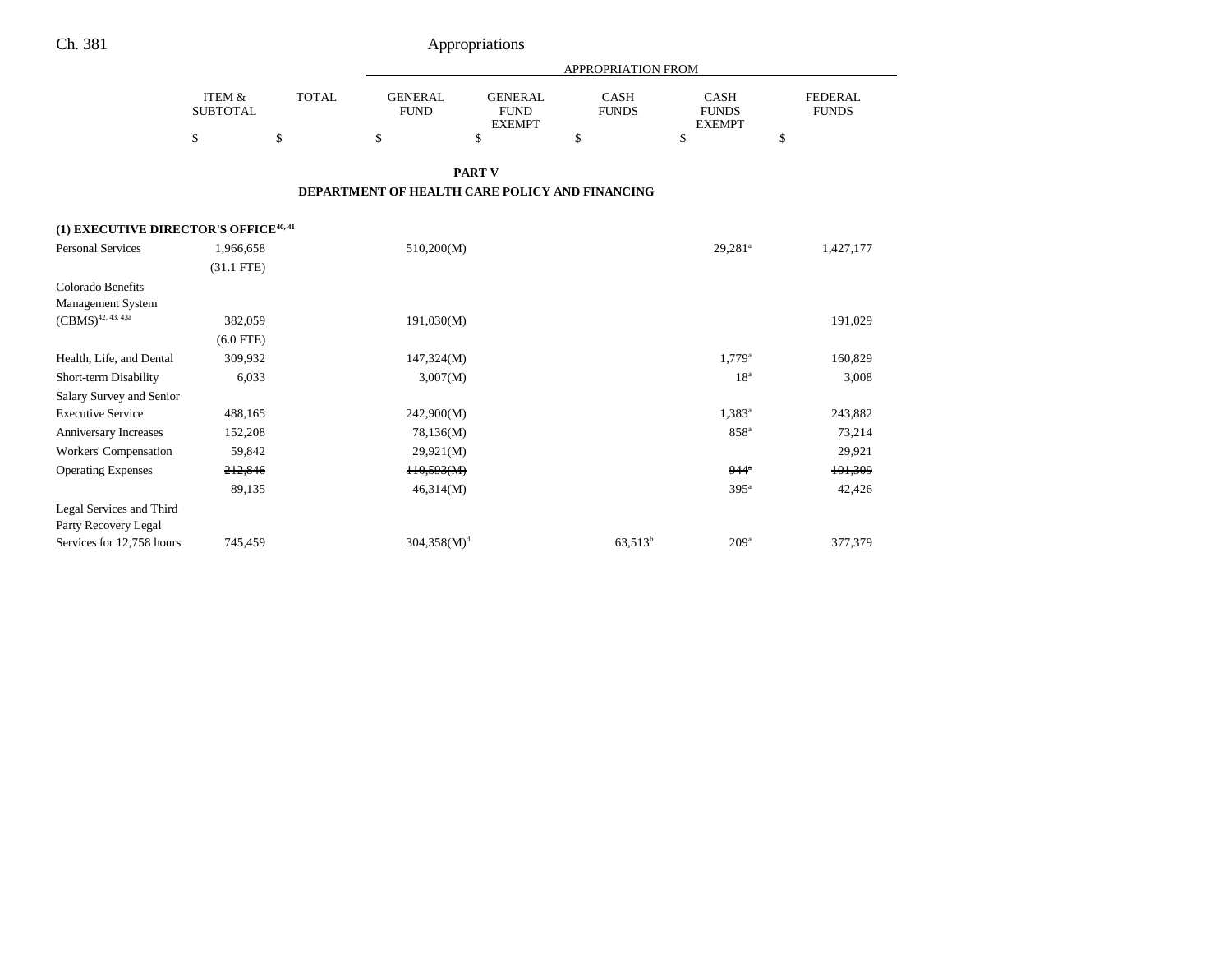|                                                   |                           |              |                                                |                                                | <b>APPROPRIATION FROM</b>   |                                              |                                |
|---------------------------------------------------|---------------------------|--------------|------------------------------------------------|------------------------------------------------|-----------------------------|----------------------------------------------|--------------------------------|
|                                                   | ITEM &<br><b>SUBTOTAL</b> | <b>TOTAL</b> | <b>GENERAL</b><br><b>FUND</b>                  | <b>GENERAL</b><br><b>FUND</b><br><b>EXEMPT</b> | <b>CASH</b><br><b>FUNDS</b> | <b>CASH</b><br><b>FUNDS</b><br><b>EXEMPT</b> | <b>FEDERAL</b><br><b>FUNDS</b> |
|                                                   | \$                        | \$           | \$                                             | \$                                             | \$                          | \$                                           | \$                             |
|                                                   |                           |              |                                                | <b>PART V</b>                                  |                             |                                              |                                |
|                                                   |                           |              | DEPARTMENT OF HEALTH CARE POLICY AND FINANCING |                                                |                             |                                              |                                |
| (1) EXECUTIVE DIRECTOR'S OFFICE <sup>40, 41</sup> |                           |              |                                                |                                                |                             |                                              |                                |
| <b>Personal Services</b>                          | 1,966,658                 |              | 510,200(M)                                     |                                                |                             | $29,281^a$                                   | 1,427,177                      |
|                                                   | $(31.1$ FTE)              |              |                                                |                                                |                             |                                              |                                |
| Colorado Benefits<br>Management System            |                           |              |                                                |                                                |                             |                                              |                                |
| $(\mathrm{CBMS})^{42,\,43,\,43a}$                 | 382,059                   |              | 191,030(M)                                     |                                                |                             |                                              | 191,029                        |
|                                                   | $(6.0$ FTE)               |              |                                                |                                                |                             |                                              |                                |
| Health, Life, and Dental                          | 309,932                   |              | 147,324(M)                                     |                                                |                             | $1,779^{\rm a}$                              | 160,829                        |
| Short-term Disability                             | 6,033                     |              | 3,007(M)                                       |                                                |                             | 18 <sup>a</sup>                              | 3,008                          |
| Salary Survey and Senior                          |                           |              |                                                |                                                |                             |                                              |                                |
| <b>Executive Service</b>                          | 488,165                   |              | 242,900(M)                                     |                                                |                             | $1,383^a$                                    | 243,882                        |
| Anniversary Increases                             | 152,208                   |              | 78,136(M)                                      |                                                |                             | 858 <sup>a</sup>                             | 73,214                         |
| Workers' Compensation                             | 59,842                    |              | 29,921(M)                                      |                                                |                             |                                              | 29,921                         |
| <b>Operating Expenses</b>                         | 212,846                   |              | H0,593(M)                                      |                                                |                             | $944^{\circ}$                                | 101,309                        |
|                                                   | 89,135                    |              | 46,314(M)                                      |                                                |                             | 395 <sup>a</sup>                             | 42,426                         |
| Legal Services and Third                          |                           |              |                                                |                                                |                             |                                              |                                |
| Party Recovery Legal                              |                           |              |                                                |                                                |                             |                                              |                                |
| Services for 12,758 hours                         | 745,459                   |              | $304,358(M)^{d}$                               |                                                | $63,513^b$                  | 209 <sup>a</sup>                             | 377,379                        |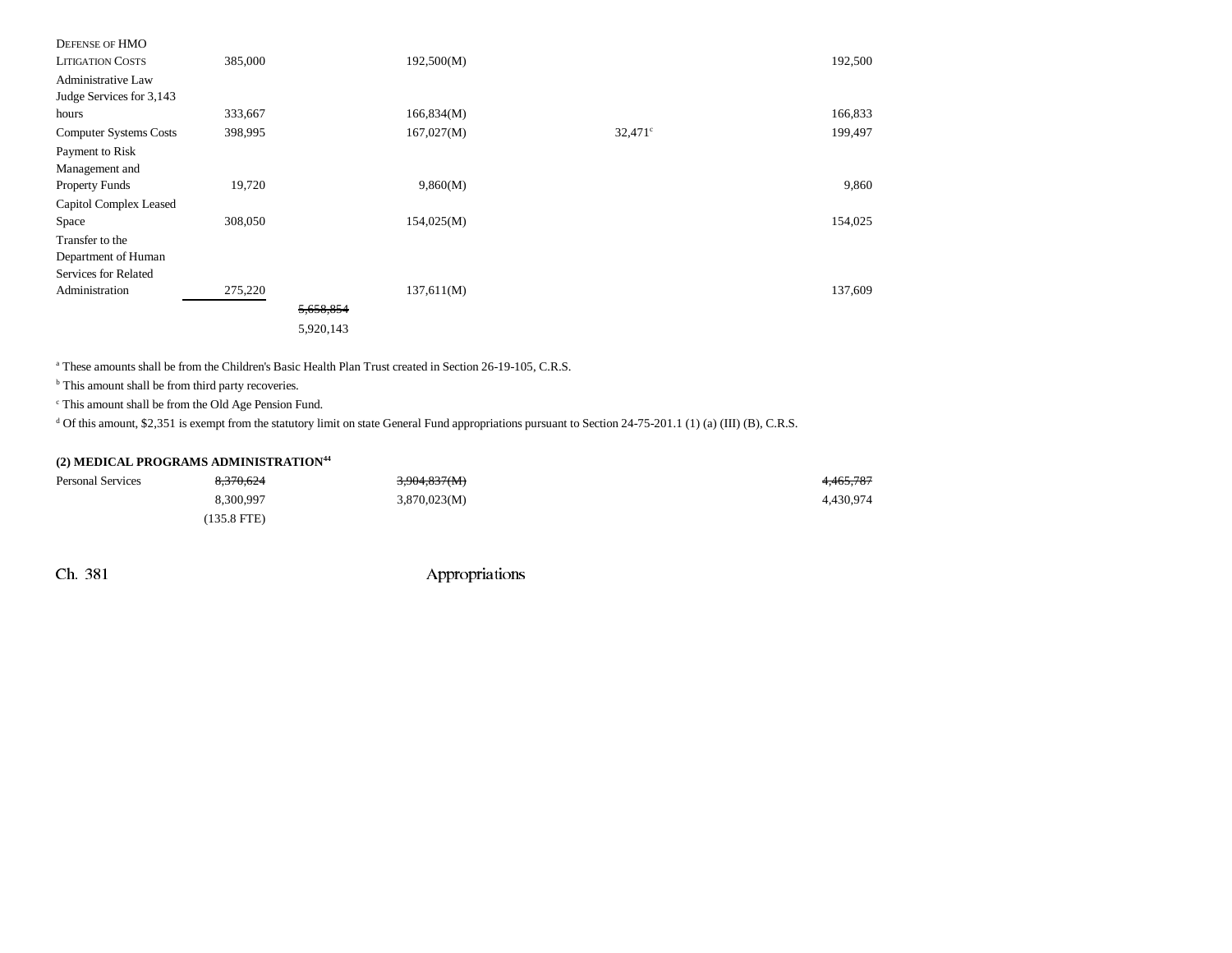| DEFENSE OF HMO                |         |           |            |            |         |
|-------------------------------|---------|-----------|------------|------------|---------|
| <b>LITIGATION COSTS</b>       | 385,000 |           | 192,500(M) |            | 192,500 |
| Administrative Law            |         |           |            |            |         |
| Judge Services for 3,143      |         |           |            |            |         |
| hours                         | 333,667 |           | 166,834(M) |            | 166,833 |
| <b>Computer Systems Costs</b> | 398,995 |           | 167,027(M) | $32,471$ ° | 199,497 |
| Payment to Risk               |         |           |            |            |         |
| Management and                |         |           |            |            |         |
| <b>Property Funds</b>         | 19,720  |           | 9,860(M)   |            | 9,860   |
| Capitol Complex Leased        |         |           |            |            |         |
| Space                         | 308,050 |           | 154,025(M) |            | 154,025 |
| Transfer to the               |         |           |            |            |         |
| Department of Human           |         |           |            |            |         |
| Services for Related          |         |           |            |            |         |
| Administration                | 275,220 |           | 137,611(M) |            | 137,609 |
|                               |         | 5,658,854 |            |            |         |
|                               |         | 5,920,143 |            |            |         |
|                               |         |           |            |            |         |

<sup>a</sup> These amounts shall be from the Children's Basic Health Plan Trust created in Section 26-19-105, C.R.S.

<sup>b</sup> This amount shall be from third party recoveries.

c This amount shall be from the Old Age Pension Fund.

 $d$  Of this amount, \$2,351 is exempt from the statutory limit on state General Fund appropriations pursuant to Section 24-75-201.1 (1) (a) (III) (B), C.R.S.

#### **(2) MEDICAL PROGRAMS ADMINISTRATION44**

| Personal Services | 8.370.624             | 3,904,837(M) | 4,465,787 |
|-------------------|-----------------------|--------------|-----------|
|                   | 8.300.997             | 3,870,023(M) | 4,430,974 |
|                   | $(135.8 \text{ FTE})$ |              |           |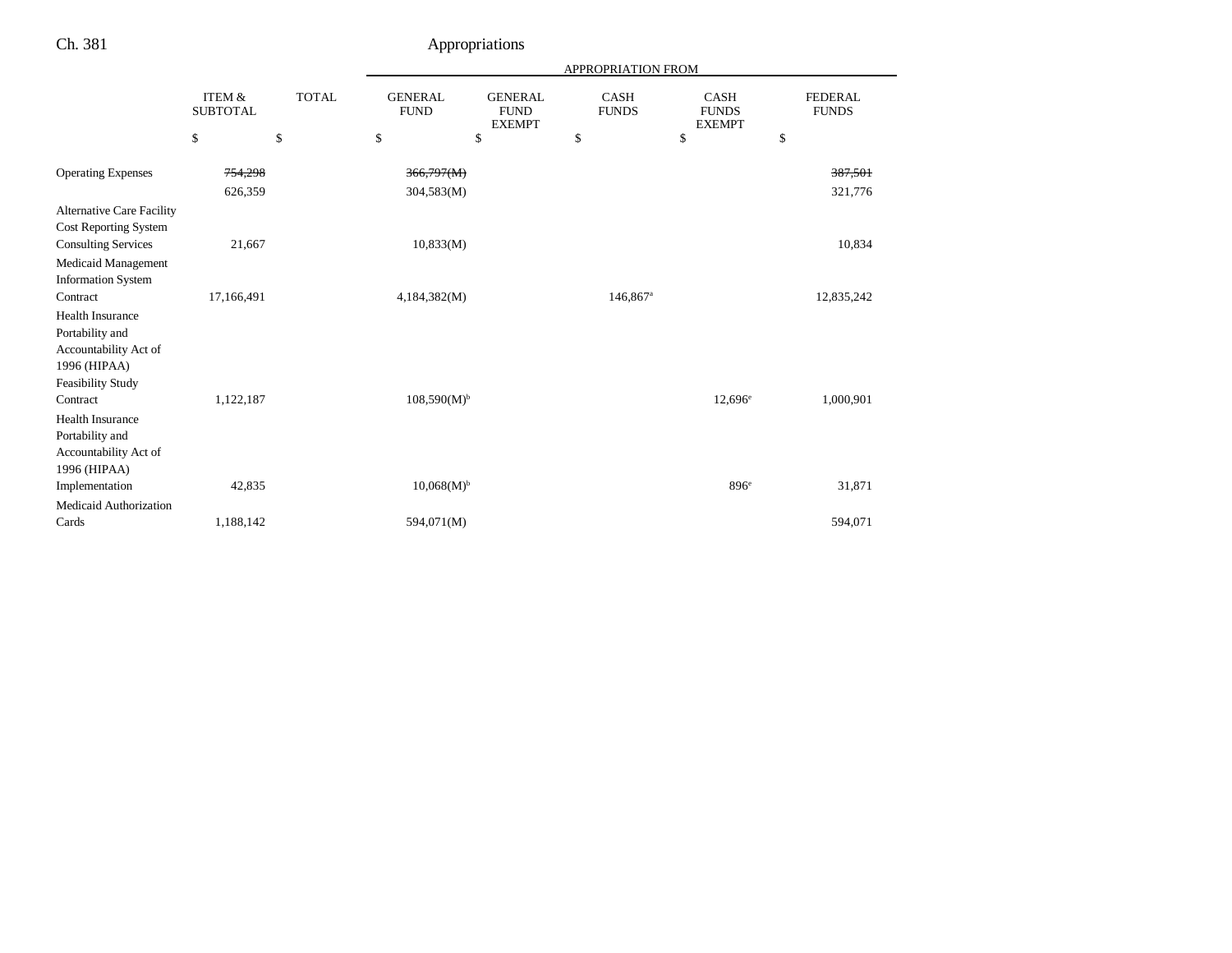|                                                                                     |                                      |              |                               |                                                | APPROPRIATION FROM          |                                              |                                |
|-------------------------------------------------------------------------------------|--------------------------------------|--------------|-------------------------------|------------------------------------------------|-----------------------------|----------------------------------------------|--------------------------------|
|                                                                                     | <b>ITEM &amp;</b><br><b>SUBTOTAL</b> | <b>TOTAL</b> | <b>GENERAL</b><br><b>FUND</b> | <b>GENERAL</b><br><b>FUND</b><br><b>EXEMPT</b> | <b>CASH</b><br><b>FUNDS</b> | <b>CASH</b><br><b>FUNDS</b><br><b>EXEMPT</b> | <b>FEDERAL</b><br><b>FUNDS</b> |
|                                                                                     | \$                                   | \$           | \$                            | \$                                             | \$                          | \$                                           | \$                             |
| <b>Operating Expenses</b>                                                           | 754,298                              |              | 366,797(M)                    |                                                |                             |                                              | 387,501                        |
|                                                                                     | 626,359                              |              | 304,583(M)                    |                                                |                             |                                              | 321,776                        |
| <b>Alternative Care Facility</b><br>Cost Reporting System                           |                                      |              |                               |                                                |                             |                                              |                                |
| <b>Consulting Services</b>                                                          | 21,667                               |              | 10,833(M)                     |                                                |                             |                                              | 10,834                         |
| <b>Medicaid Management</b><br><b>Information System</b>                             |                                      |              |                               |                                                |                             |                                              |                                |
| Contract                                                                            | 17,166,491                           |              | 4,184,382(M)                  |                                                | $146,867$ <sup>a</sup>      |                                              | 12,835,242                     |
| <b>Health Insurance</b><br>Portability and<br>Accountability Act of<br>1996 (HIPAA) |                                      |              |                               |                                                |                             |                                              |                                |
| <b>Feasibility Study</b>                                                            |                                      |              |                               |                                                |                             |                                              |                                |
| Contract                                                                            | 1,122,187                            |              | $108,590(M)^{b}$              |                                                |                             | $12,696^{\circ}$                             | 1,000,901                      |
| Health Insurance                                                                    |                                      |              |                               |                                                |                             |                                              |                                |
| Portability and<br>Accountability Act of<br>1996 (HIPAA)                            |                                      |              |                               |                                                |                             |                                              |                                |
| Implementation                                                                      | 42,835                               |              | $10,068(M)^{b}$               |                                                |                             | 896 <sup>e</sup>                             | 31,871                         |
| Medicaid Authorization                                                              |                                      |              |                               |                                                |                             |                                              |                                |
| Cards                                                                               | 1,188,142                            |              | 594,071(M)                    |                                                |                             |                                              | 594,071                        |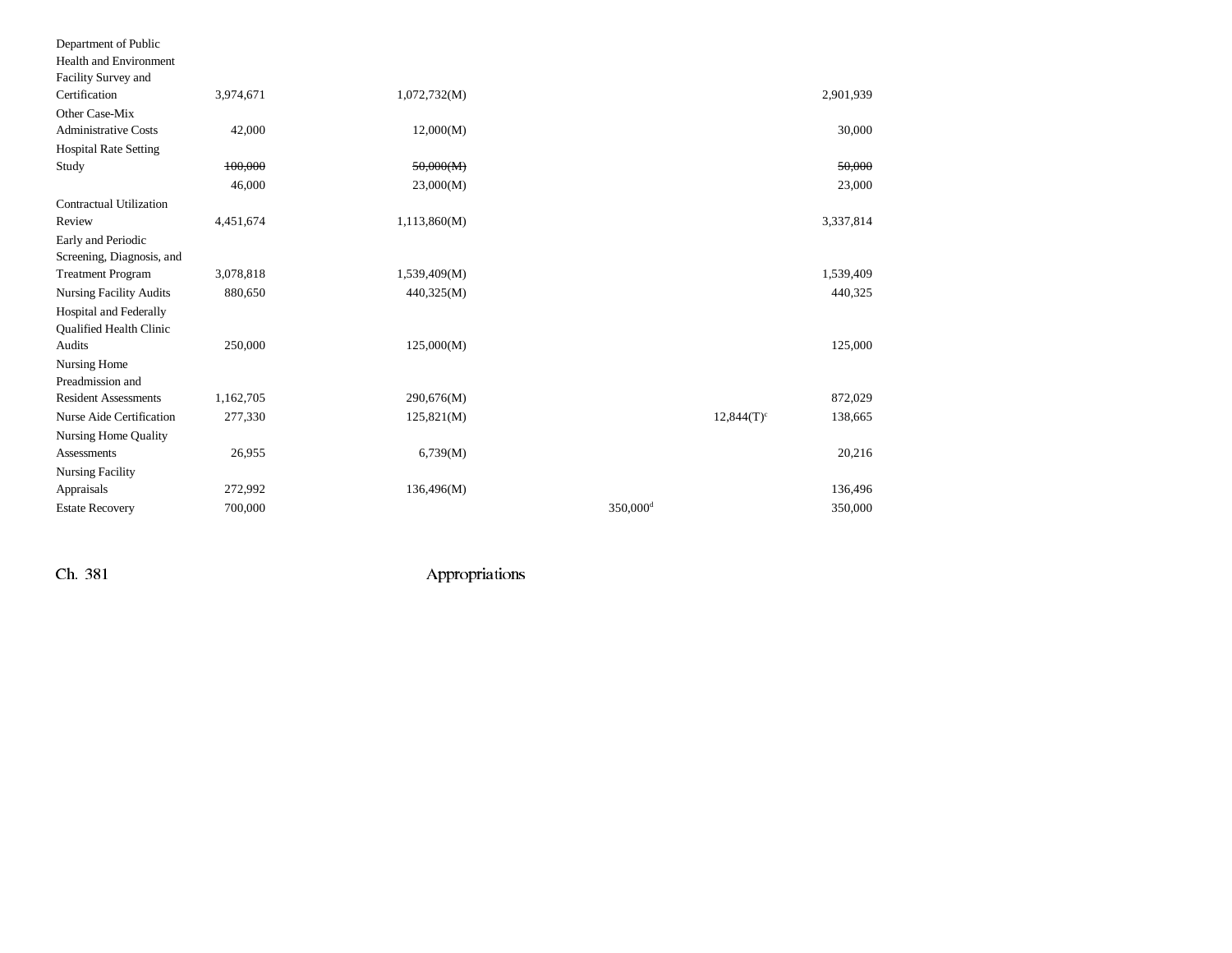| Department of Public           |           |              |                      |                          |           |
|--------------------------------|-----------|--------------|----------------------|--------------------------|-----------|
| <b>Health and Environment</b>  |           |              |                      |                          |           |
| Facility Survey and            |           |              |                      |                          |           |
| Certification                  | 3,974,671 | 1,072,732(M) |                      |                          | 2,901,939 |
| Other Case-Mix                 |           |              |                      |                          |           |
| <b>Administrative Costs</b>    | 42,000    | 12,000(M)    |                      |                          | 30,000    |
| <b>Hospital Rate Setting</b>   |           |              |                      |                          |           |
| Study                          | 100,000   | 50,000(M)    |                      |                          | 50.000    |
|                                | 46,000    | 23,000(M)    |                      |                          | 23,000    |
| Contractual Utilization        |           |              |                      |                          |           |
| Review                         | 4,451,674 | 1,113,860(M) |                      |                          | 3,337,814 |
| Early and Periodic             |           |              |                      |                          |           |
| Screening, Diagnosis, and      |           |              |                      |                          |           |
| <b>Treatment Program</b>       | 3,078,818 | 1,539,409(M) |                      |                          | 1,539,409 |
| <b>Nursing Facility Audits</b> | 880,650   | 440,325(M)   |                      |                          | 440,325   |
| Hospital and Federally         |           |              |                      |                          |           |
| Qualified Health Clinic        |           |              |                      |                          |           |
| Audits                         | 250,000   | 125,000(M)   |                      |                          | 125,000   |
| Nursing Home                   |           |              |                      |                          |           |
| Preadmission and               |           |              |                      |                          |           |
| <b>Resident Assessments</b>    | 1,162,705 | 290,676(M)   |                      |                          | 872,029   |
| Nurse Aide Certification       | 277,330   | 125,821(M)   |                      | $12,844(T)$ <sup>c</sup> | 138,665   |
| <b>Nursing Home Quality</b>    |           |              |                      |                          |           |
| <b>Assessments</b>             | 26,955    | 6,739(M)     |                      |                          | 20,216    |
| Nursing Facility               |           |              |                      |                          |           |
| Appraisals                     | 272,992   | 136,496(M)   |                      |                          | 136,496   |
| <b>Estate Recovery</b>         | 700,000   |              | 350,000 <sup>d</sup> |                          | 350,000   |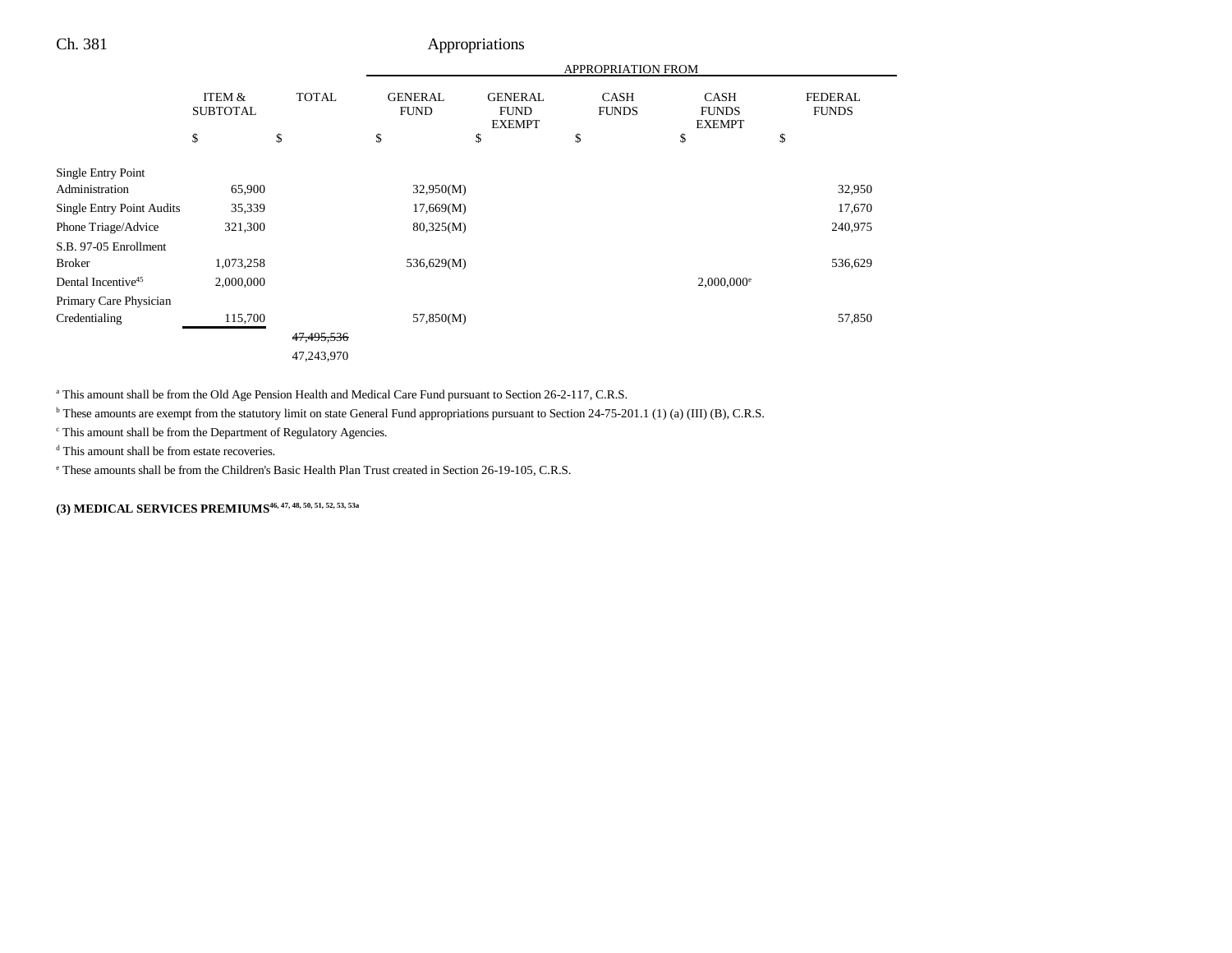|                                  |                           |              |                               |                                                | APPROPRIATION FROM          |                                              |                                |
|----------------------------------|---------------------------|--------------|-------------------------------|------------------------------------------------|-----------------------------|----------------------------------------------|--------------------------------|
|                                  | ITEM &<br><b>SUBTOTAL</b> | <b>TOTAL</b> | <b>GENERAL</b><br><b>FUND</b> | <b>GENERAL</b><br><b>FUND</b><br><b>EXEMPT</b> | <b>CASH</b><br><b>FUNDS</b> | <b>CASH</b><br><b>FUNDS</b><br><b>EXEMPT</b> | <b>FEDERAL</b><br><b>FUNDS</b> |
|                                  | \$                        | \$           | \$                            | \$                                             | \$                          | \$                                           | \$                             |
| Single Entry Point               |                           |              |                               |                                                |                             |                                              |                                |
| Administration                   | 65,900                    |              | 32,950(M)                     |                                                |                             |                                              | 32,950                         |
| <b>Single Entry Point Audits</b> | 35,339                    |              | 17,669(M)                     |                                                |                             |                                              | 17,670                         |
| Phone Triage/Advice              | 321,300                   |              | 80,325(M)                     |                                                |                             |                                              | 240,975                        |
| S.B. 97-05 Enrollment            |                           |              |                               |                                                |                             |                                              |                                |
| <b>Broker</b>                    | 1,073,258                 |              | 536,629(M)                    |                                                |                             |                                              | 536,629                        |
| Dental Incentive <sup>45</sup>   | 2,000,000                 |              |                               |                                                |                             | $2,000,000$ <sup>e</sup>                     |                                |
| Primary Care Physician           |                           |              |                               |                                                |                             |                                              |                                |
| Credentialing                    | 115,700                   |              | 57,850(M)                     |                                                |                             |                                              | 57,850                         |
|                                  |                           | 47,495,536   |                               |                                                |                             |                                              |                                |
|                                  |                           | 47,243,970   |                               |                                                |                             |                                              |                                |

a This amount shall be from the Old Age Pension Health and Medical Care Fund pursuant to Section 26-2-117, C.R.S.

<sup>b</sup> These amounts are exempt from the statutory limit on state General Fund appropriations pursuant to Section 24-75-201.1 (1) (a) (III) (B), C.R.S.

c This amount shall be from the Department of Regulatory Agencies.

d This amount shall be from estate recoveries.

e These amounts shall be from the Children's Basic Health Plan Trust created in Section 26-19-105, C.R.S.

**(3) MEDICAL SERVICES PREMIUMS46, 47, 48, 50, 51, 52, 53, 53a**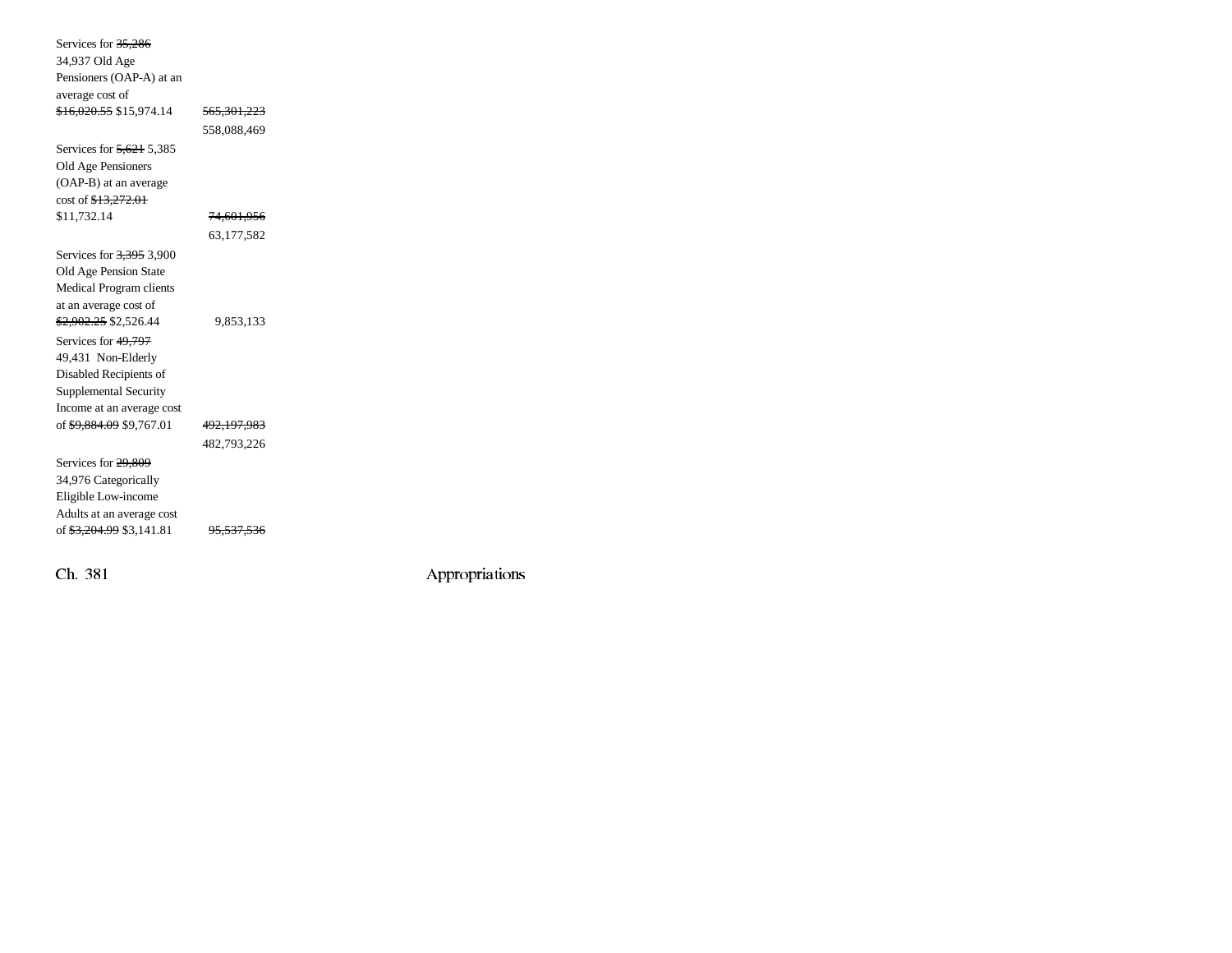| Services for 35,286                  |                        |  |
|--------------------------------------|------------------------|--|
| 34,937 Old Age                       |                        |  |
| Pensioners (OAP-A) at an             |                        |  |
| average cost of                      |                        |  |
| <del>\$16,020.55</del> \$15,974.14   | <del>565,301,223</del> |  |
|                                      | 558,088,469            |  |
| Services for $\frac{5,621}{2}$ 5,385 |                        |  |
| Old Age Pensioners                   |                        |  |
| (OAP-B) at an average                |                        |  |
| cost of \$13,272.01                  |                        |  |
| \$11,732.14                          | 74,601,956             |  |
|                                      | 63,177,582             |  |
| Services for 3,395 3,900             |                        |  |
| Old Age Pension State                |                        |  |
| Medical Program clients              |                        |  |
| at an average cost of                |                        |  |
| \$2,902.25 \$2,526.44                | 9,853,133              |  |
| Services for 49,797                  |                        |  |
| 49,431 Non-Elderly                   |                        |  |
| Disabled Recipients of               |                        |  |
| Supplemental Security                |                        |  |
| Income at an average cost            |                        |  |
| of \$9,884.09 \$9,767.01             | <del>492,197,983</del> |  |
|                                      | 482,793,226            |  |
| Services for 29,809                  |                        |  |
| 34,976 Categorically                 |                        |  |
| Eligible Low-income                  |                        |  |
| Adults at an average cost            |                        |  |
| of \$3,204.99 \$3,141.81             |                        |  |
|                                      |                        |  |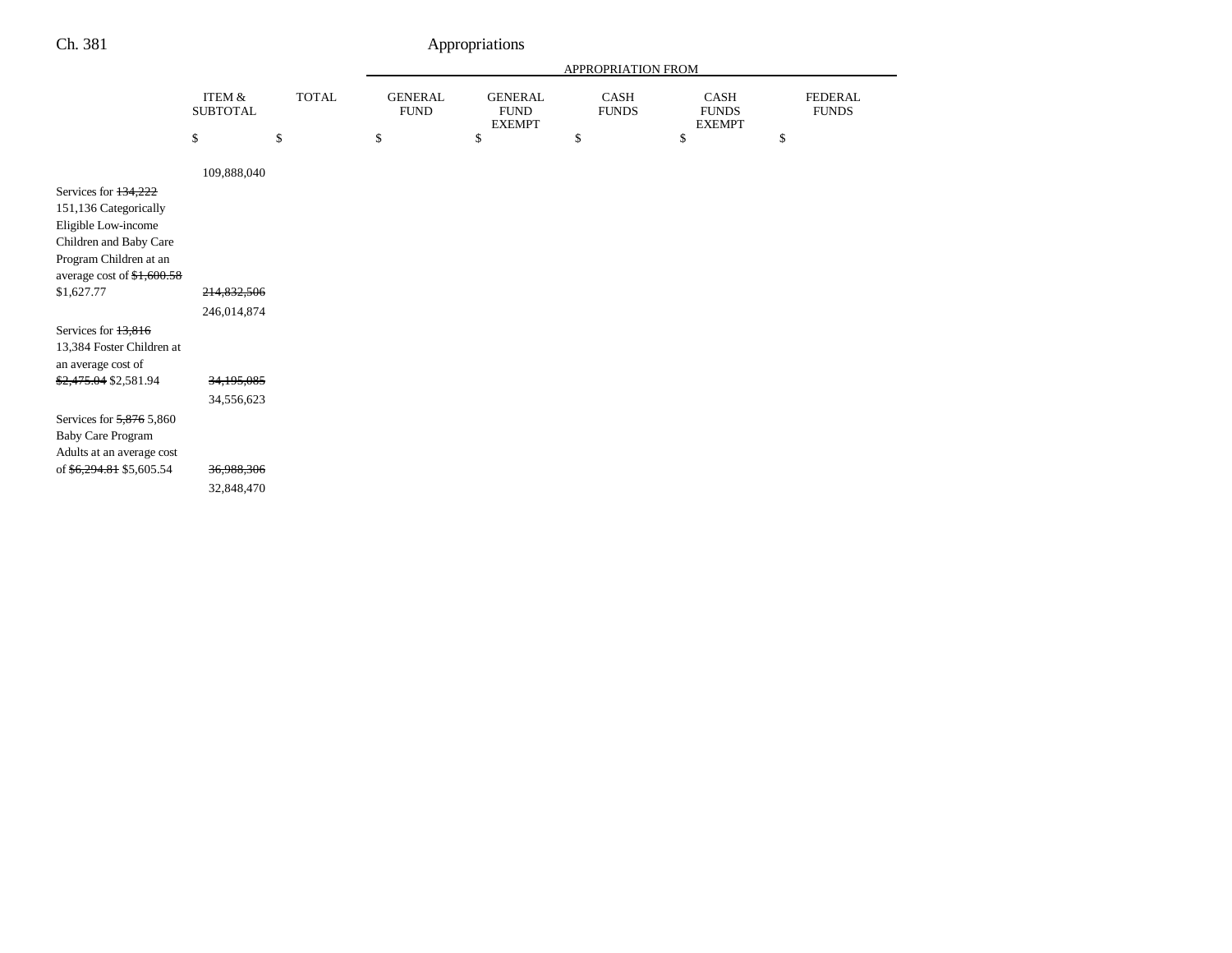|                                                                                                                                                                       |                            |              | APPROPRIATION FROM            |                                                |                      |                                       |                                |  |
|-----------------------------------------------------------------------------------------------------------------------------------------------------------------------|----------------------------|--------------|-------------------------------|------------------------------------------------|----------------------|---------------------------------------|--------------------------------|--|
|                                                                                                                                                                       | ITEM &<br><b>SUBTOTAL</b>  | <b>TOTAL</b> | <b>GENERAL</b><br><b>FUND</b> | <b>GENERAL</b><br><b>FUND</b><br><b>EXEMPT</b> | CASH<br><b>FUNDS</b> | CASH<br><b>FUNDS</b><br><b>EXEMPT</b> | <b>FEDERAL</b><br><b>FUNDS</b> |  |
|                                                                                                                                                                       | \$                         | \$           | \$                            | \$                                             | \$                   | \$                                    | \$                             |  |
|                                                                                                                                                                       | 109,888,040                |              |                               |                                                |                      |                                       |                                |  |
| Services for 134,222<br>151,136 Categorically<br>Eligible Low-income<br>Children and Baby Care<br>Program Children at an<br>average cost of $$1,600.58$<br>\$1,627.77 | 214,832,506<br>246,014,874 |              |                               |                                                |                      |                                       |                                |  |
| Services for 13,816<br>13,384 Foster Children at<br>an average cost of<br>\$2,475.04 \$2,581.94                                                                       | 34,195,085                 |              |                               |                                                |                      |                                       |                                |  |
|                                                                                                                                                                       | 34,556,623                 |              |                               |                                                |                      |                                       |                                |  |
| Services for 5,876 5,860<br><b>Baby Care Program</b><br>Adults at an average cost<br>of \$6,294.81 \$5,605.54                                                         | 36,988,306<br>32,848,470   |              |                               |                                                |                      |                                       |                                |  |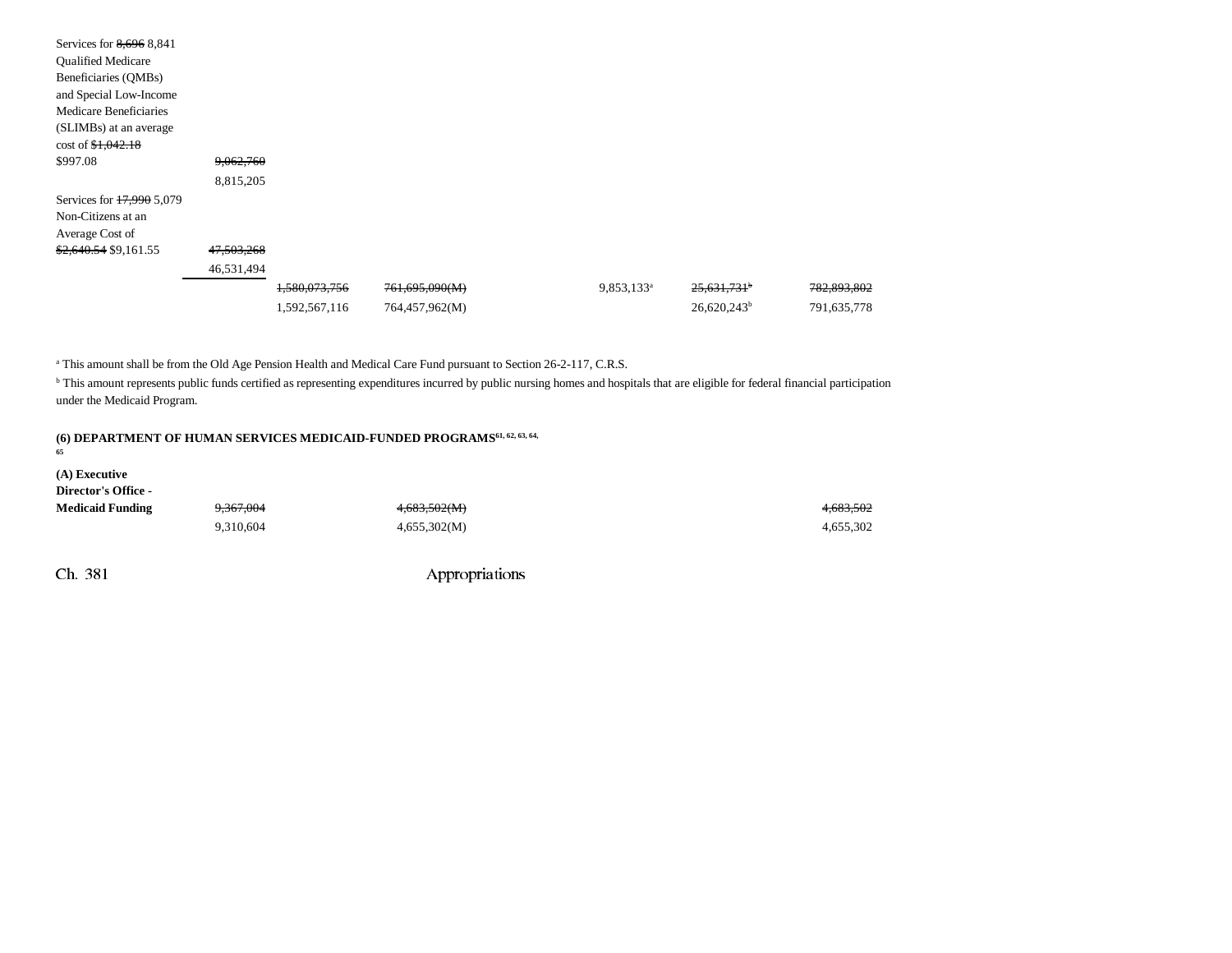| Services for 8,696 8,841         |            |               |                |                        |                           |             |
|----------------------------------|------------|---------------|----------------|------------------------|---------------------------|-------------|
| <b>Qualified Medicare</b>        |            |               |                |                        |                           |             |
| Beneficiaries (QMBs)             |            |               |                |                        |                           |             |
| and Special Low-Income           |            |               |                |                        |                           |             |
| Medicare Beneficiaries           |            |               |                |                        |                           |             |
| (SLIMBs) at an average           |            |               |                |                        |                           |             |
| $\cos t$ of $\frac{1,042.18}{2}$ |            |               |                |                        |                           |             |
| \$997.08                         | 9,062,760  |               |                |                        |                           |             |
|                                  | 8,815,205  |               |                |                        |                           |             |
| Services for 17,990 5,079        |            |               |                |                        |                           |             |
| Non-Citizens at an               |            |               |                |                        |                           |             |
| Average Cost of                  |            |               |                |                        |                           |             |
| \$2,640.54 \$9,161.55            | 47,503,268 |               |                |                        |                           |             |
|                                  | 46,531,494 |               |                |                        |                           |             |
|                                  |            | 1,580,073,756 | 761,695,090(M) | 9,853,133 <sup>a</sup> | $25,631,731$ <sup>b</sup> | 782,893,802 |
|                                  |            | 1,592,567,116 | 764,457,962(M) |                        | $26,620,243^b$            | 791,635,778 |

<sup>a</sup> This amount shall be from the Old Age Pension Health and Medical Care Fund pursuant to Section 26-2-117, C.R.S.

<sup>b</sup> This amount represents public funds certified as representing expenditures incurred by public nursing homes and hospitals that are eligible for federal financial participation under the Medicaid Program.

#### **65**

**(A) Executive Director's Office -**

| $P_{\rm H}$ comes of $P_{\rm H}$ |                      |              |           |
|----------------------------------|----------------------|--------------|-----------|
| <b>Medicaid Funding</b>          | <del>9.367.004</del> | 4,683,502(M) | 4,683,502 |
|                                  | 9.310.604            | 4,655,302(M) | 4,655,302 |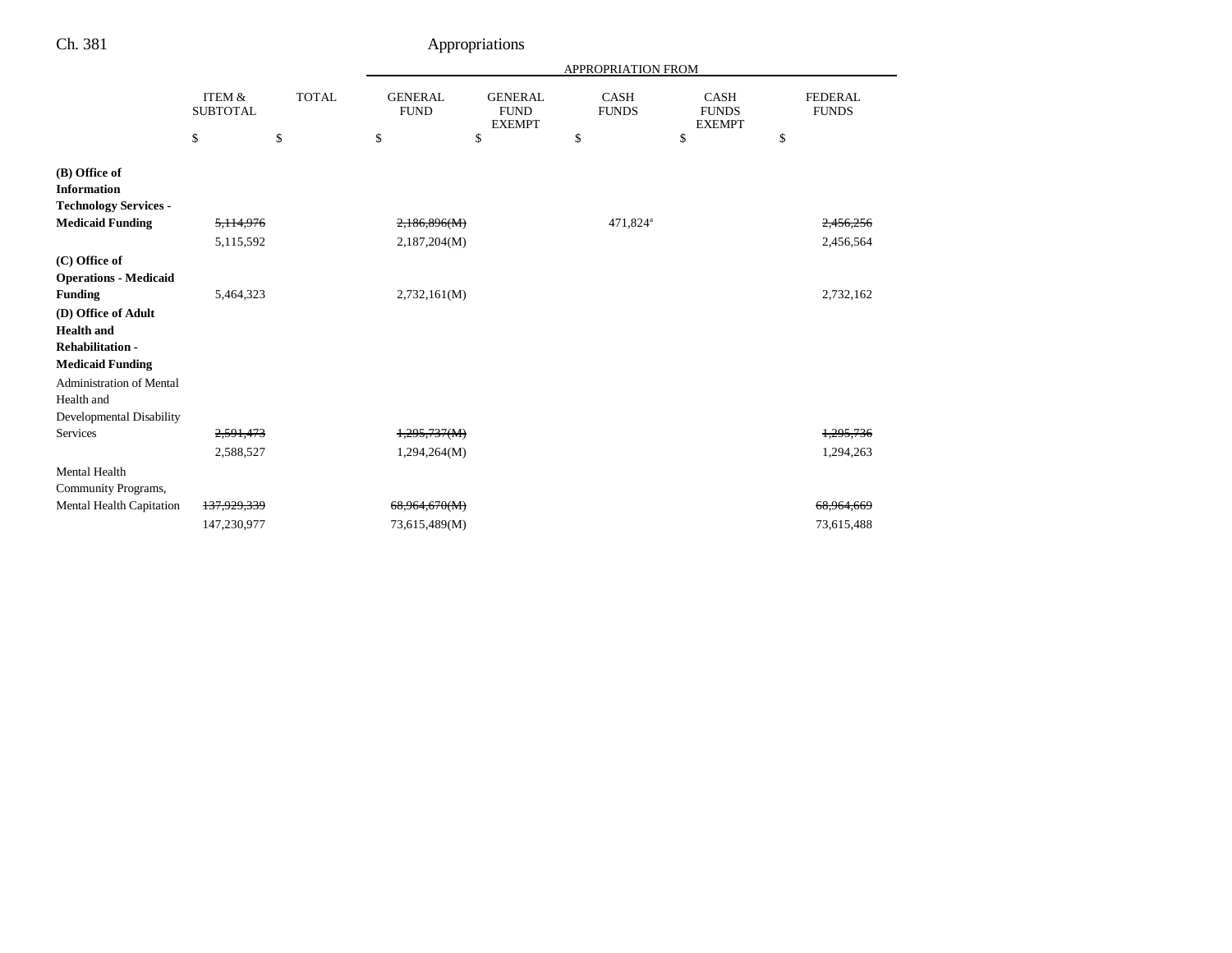| ٠<br>۰, | ۹<br>× |
|---------|--------|
|---------|--------|

### Appropriations

|                                                                                                                                                                            |                                      |              |                               | <b>APPROPRIATION FROM</b>                      |                             |                                              |    |                                |  |
|----------------------------------------------------------------------------------------------------------------------------------------------------------------------------|--------------------------------------|--------------|-------------------------------|------------------------------------------------|-----------------------------|----------------------------------------------|----|--------------------------------|--|
|                                                                                                                                                                            | <b>ITEM &amp;</b><br><b>SUBTOTAL</b> | <b>TOTAL</b> | <b>GENERAL</b><br><b>FUND</b> | <b>GENERAL</b><br><b>FUND</b><br><b>EXEMPT</b> | <b>CASH</b><br><b>FUNDS</b> | <b>CASH</b><br><b>FUNDS</b><br><b>EXEMPT</b> |    | <b>FEDERAL</b><br><b>FUNDS</b> |  |
|                                                                                                                                                                            | \$                                   | \$           | \$                            | \$                                             | \$                          | \$                                           | \$ |                                |  |
| (B) Office of<br><b>Information</b><br><b>Technology Services -</b>                                                                                                        |                                      |              |                               |                                                |                             |                                              |    |                                |  |
| <b>Medicaid Funding</b>                                                                                                                                                    | 5, 114, 976                          |              | 2,186,896(M)                  |                                                | 471,824 <sup>a</sup>        |                                              |    | 2.456.256                      |  |
|                                                                                                                                                                            | 5,115,592                            |              | 2,187,204(M)                  |                                                |                             |                                              |    | 2,456,564                      |  |
| (C) Office of<br><b>Operations - Medicaid</b>                                                                                                                              |                                      |              |                               |                                                |                             |                                              |    |                                |  |
| <b>Funding</b>                                                                                                                                                             | 5,464,323                            |              | 2,732,161(M)                  |                                                |                             |                                              |    | 2,732,162                      |  |
| (D) Office of Adult<br><b>Health</b> and<br><b>Rehabilitation-</b><br><b>Medicaid Funding</b><br><b>Administration of Mental</b><br>Health and<br>Developmental Disability |                                      |              |                               |                                                |                             |                                              |    |                                |  |
| Services                                                                                                                                                                   | 2,591,473                            |              | 1,295,737(M)                  |                                                |                             |                                              |    | 1,295,736                      |  |
| Mental Health                                                                                                                                                              | 2,588,527                            |              | 1,294,264(M)                  |                                                |                             |                                              |    | 1,294,263                      |  |
| Community Programs,                                                                                                                                                        |                                      |              |                               |                                                |                             |                                              |    |                                |  |
| Mental Health Capitation                                                                                                                                                   | 137,929,339                          |              | 68,964,670(M)                 |                                                |                             |                                              |    | 68,964,669                     |  |
|                                                                                                                                                                            | 147,230,977                          |              | 73,615,489(M)                 |                                                |                             |                                              |    | 73,615,488                     |  |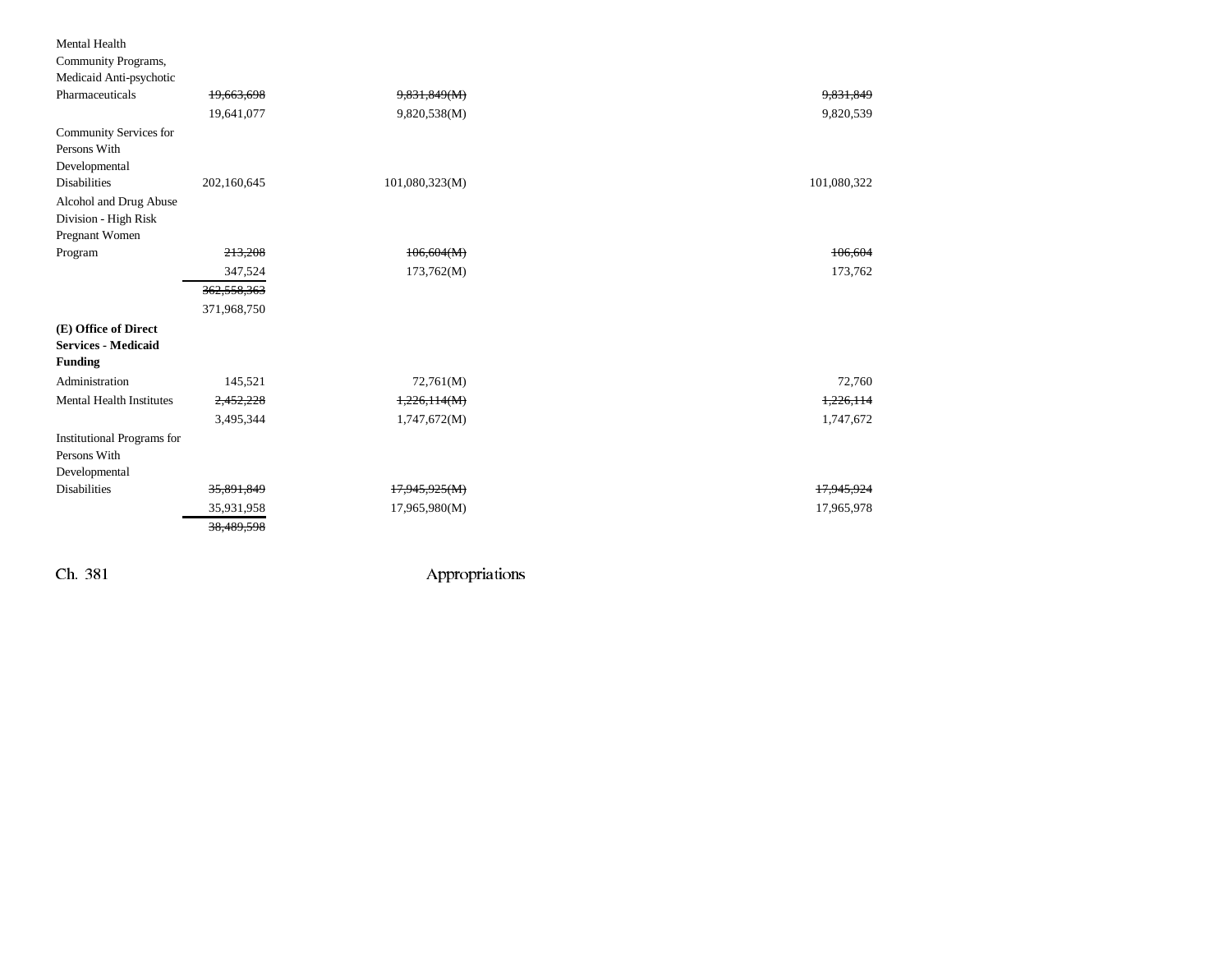| Mental Health                     |             |                |             |
|-----------------------------------|-------------|----------------|-------------|
| Community Programs,               |             |                |             |
| Medicaid Anti-psychotic           |             |                |             |
| Pharmaceuticals                   | 19,663,698  | 9,831,849(M)   | 9,831,849   |
|                                   | 19,641,077  | 9,820,538(M)   | 9,820,539   |
| Community Services for            |             |                |             |
| Persons With                      |             |                |             |
| Developmental                     |             |                |             |
| <b>Disabilities</b>               | 202,160,645 | 101,080,323(M) | 101,080,322 |
| Alcohol and Drug Abuse            |             |                |             |
| Division - High Risk              |             |                |             |
| Pregnant Women                    |             |                |             |
| Program                           | 213,208     | 106,604(M)     | 106,604     |
|                                   | 347,524     | 173,762(M)     | 173,762     |
|                                   | 362,558,363 |                |             |
|                                   | 371,968,750 |                |             |
| (E) Office of Direct              |             |                |             |
| <b>Services - Medicaid</b>        |             |                |             |
| <b>Funding</b>                    |             |                |             |
| Administration                    | 145,521     | 72,761(M)      | 72,760      |
| <b>Mental Health Institutes</b>   | 2,452,228   | 1,226,114(M)   | 1,226,114   |
|                                   | 3,495,344   | 1,747,672(M)   | 1,747,672   |
| <b>Institutional Programs for</b> |             |                |             |
| Persons With                      |             |                |             |
| Developmental                     |             |                |             |
| <b>Disabilities</b>               | 35,891,849  | 17,945,925(M)  | 17,945,924  |
|                                   | 35,931,958  | 17,965,980(M)  | 17,965,978  |
|                                   | 38,489,598  |                |             |
|                                   |             |                |             |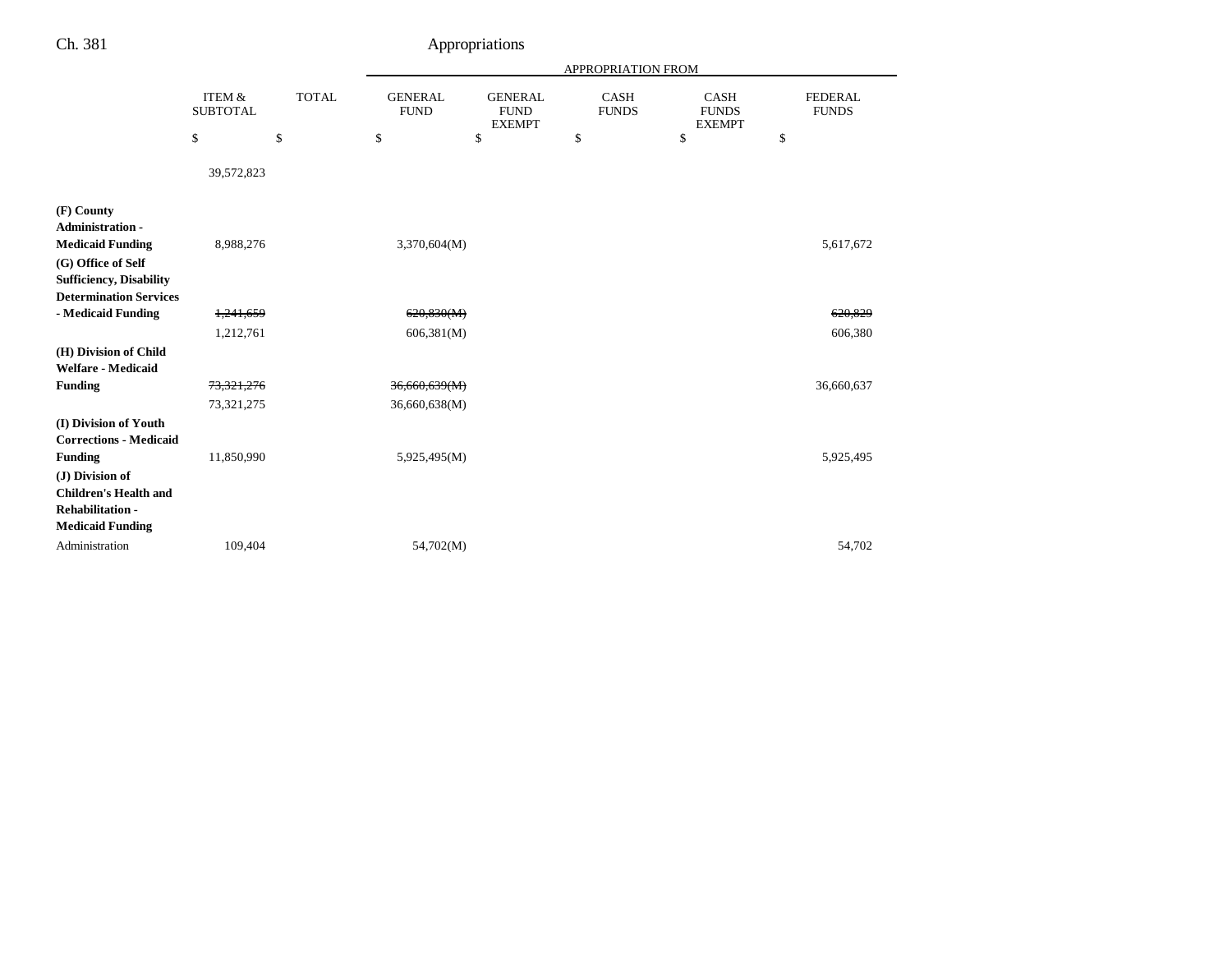|                                                                                                       |                           |              | <b>APPROPRIATION FROM</b>     |                                                |                             |                                              |                                |  |
|-------------------------------------------------------------------------------------------------------|---------------------------|--------------|-------------------------------|------------------------------------------------|-----------------------------|----------------------------------------------|--------------------------------|--|
|                                                                                                       | ITEM &<br><b>SUBTOTAL</b> | <b>TOTAL</b> | <b>GENERAL</b><br><b>FUND</b> | <b>GENERAL</b><br><b>FUND</b><br><b>EXEMPT</b> | <b>CASH</b><br><b>FUNDS</b> | <b>CASH</b><br><b>FUNDS</b><br><b>EXEMPT</b> | <b>FEDERAL</b><br><b>FUNDS</b> |  |
|                                                                                                       | \$                        | \$           | \$                            | \$                                             | \$                          | \$                                           | \$                             |  |
|                                                                                                       | 39,572,823                |              |                               |                                                |                             |                                              |                                |  |
| (F) County                                                                                            |                           |              |                               |                                                |                             |                                              |                                |  |
| <b>Administration -</b><br><b>Medicaid Funding</b>                                                    | 8,988,276                 |              | 3,370,604(M)                  |                                                |                             |                                              | 5,617,672                      |  |
| (G) Office of Self                                                                                    |                           |              |                               |                                                |                             |                                              |                                |  |
| <b>Sufficiency, Disability</b>                                                                        |                           |              |                               |                                                |                             |                                              |                                |  |
| <b>Determination Services</b>                                                                         |                           |              |                               |                                                |                             |                                              |                                |  |
| - Medicaid Funding                                                                                    | 1,241,659                 |              | 620,830(M)                    |                                                |                             |                                              | 620,829                        |  |
|                                                                                                       | 1,212,761                 |              | 606,381(M)                    |                                                |                             |                                              | 606,380                        |  |
| (H) Division of Child<br>Welfare - Medicaid                                                           |                           |              |                               |                                                |                             |                                              |                                |  |
| Funding                                                                                               | 73, 321, 276              |              | 36,660,639(M)                 |                                                |                             |                                              | 36,660,637                     |  |
|                                                                                                       | 73,321,275                |              | 36,660,638(M)                 |                                                |                             |                                              |                                |  |
| (I) Division of Youth<br><b>Corrections - Medicaid</b>                                                |                           |              |                               |                                                |                             |                                              |                                |  |
| Funding                                                                                               | 11,850,990                |              | 5,925,495(M)                  |                                                |                             |                                              | 5,925,495                      |  |
| (J) Division of<br><b>Children's Health and</b><br><b>Rehabilitation -</b><br><b>Medicaid Funding</b> |                           |              |                               |                                                |                             |                                              |                                |  |
| Administration                                                                                        | 109,404                   |              | 54,702(M)                     |                                                |                             |                                              | 54,702                         |  |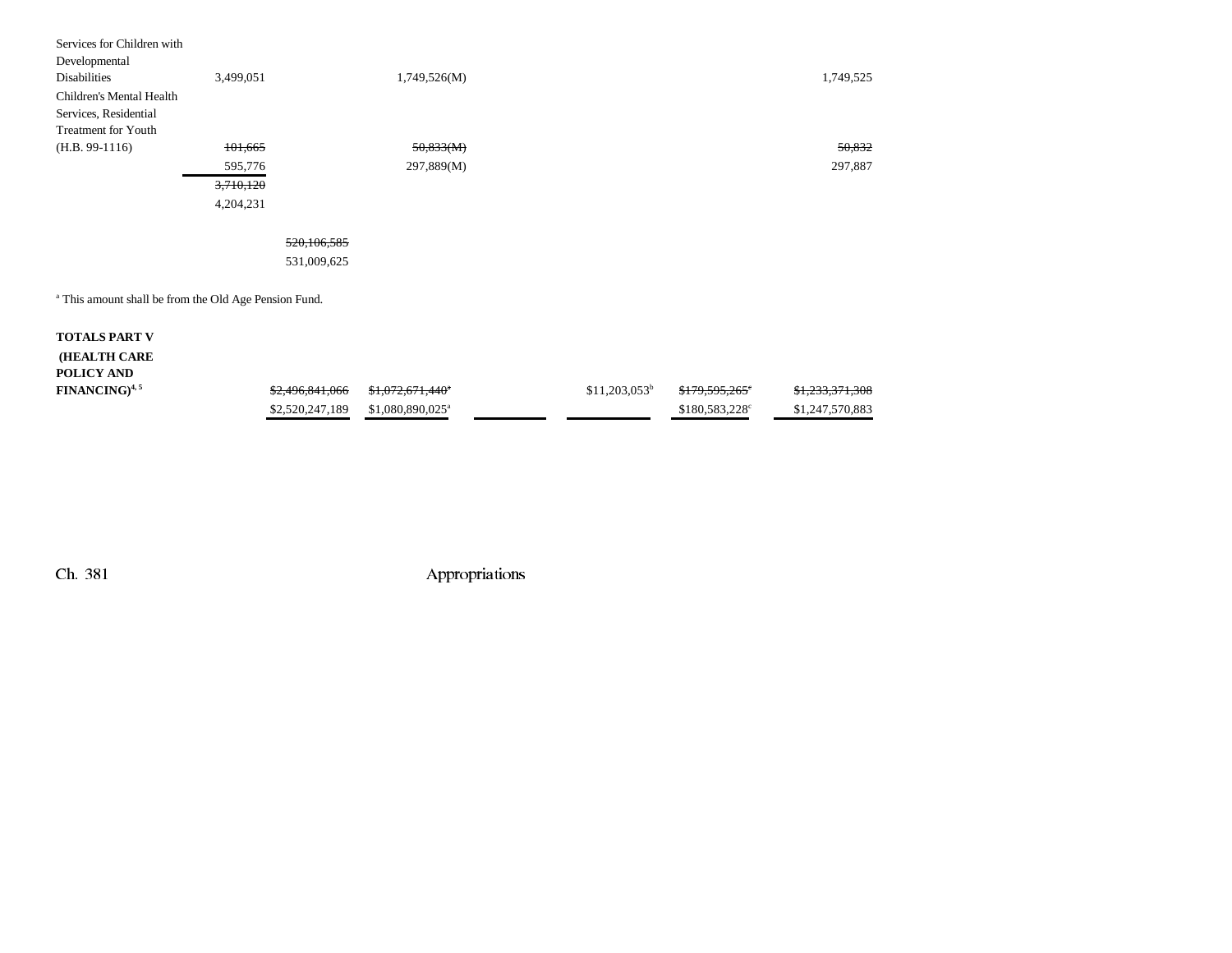| Services for Children with                                       |           |              |           |
|------------------------------------------------------------------|-----------|--------------|-----------|
| Developmental                                                    |           |              |           |
| <b>Disabilities</b>                                              | 3,499,051 | 1,749,526(M) | 1,749,525 |
| Children's Mental Health                                         |           |              |           |
| Services, Residential                                            |           |              |           |
| Treatment for Youth                                              |           |              |           |
| $(H.B. 99-1116)$                                                 | 101,665   | 50,833(M)    | 50,832    |
|                                                                  | 595,776   | 297,889(M)   | 297,887   |
|                                                                  | 3,710,120 |              |           |
|                                                                  | 4,204,231 |              |           |
|                                                                  |           |              |           |
|                                                                  |           | 520,106,585  |           |
|                                                                  |           | 531,009,625  |           |
|                                                                  |           |              |           |
| <sup>a</sup> This amount shall be from the Old Age Pension Fund. |           |              |           |
|                                                                  |           |              |           |

| <b>TOTALS PART V</b> |                 |                              |                 |                            |                            |
|----------------------|-----------------|------------------------------|-----------------|----------------------------|----------------------------|
| <b>(HEALTH CARE</b>  |                 |                              |                 |                            |                            |
| POLICY AND           |                 |                              |                 |                            |                            |
| $FINANCING)^{4,5}$   | \$2,496,841,066 | <del>\$1,072,671,440</del> * | $$11,203,053^b$ | <del>\$179,595,265</del> ° | <del>\$1,233,371,308</del> |
|                      | \$2,520,247,189 | \$1,080,890,025 <sup>a</sup> |                 | $$180,583,228^{\circ}$     | \$1,247,570,883            |